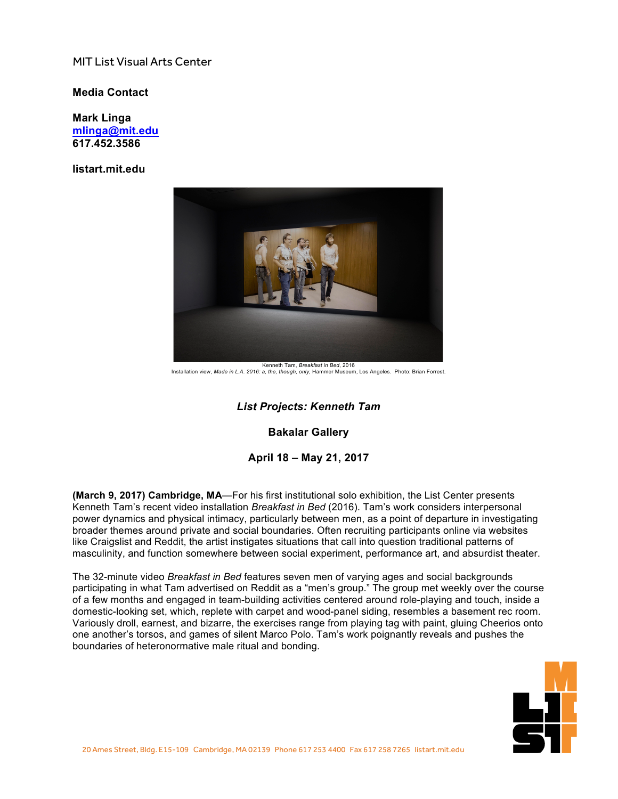## MIT List Visual Arts Center

## **Media Contact**

**Mark Linga [mlinga@mit.edu](mailto:mlinga@mit.edu) [617.452.3586](tel:6174523586)**

**<listart.mit.edu>**



Installation view, *Made in L.A. 2016: a, the, though, only*, Hammer Museum, Los Angeles. Photo: Brian Forrest.

## *List Projects: Kenneth Tam*

**Bakalar Gallery**

**April 18 – May 21, 2017**

**(March 9, 2017) Cambridge, MA**—For his first institutional solo exhibition, the List Center presents Kenneth Tam's recent video installation *Breakfast in Bed* (2016). Tam's work considers interpersonal power dynamics and physical intimacy, particularly between men, as a point of departure in investigating broader themes around private and social boundaries. Often recruiting participants online via websites like Craigslist and Reddit, the artist instigates situations that call into question traditional patterns of masculinity, and function somewhere between social experiment, performance art, and absurdist theater.

The 32-minute video *Breakfast in Bed* features seven men of varying ages and social backgrounds participating in what Tam advertised on Reddit as a "men's group." The group met weekly over the course of a few months and engaged in team-building activities centered around role-playing and touch, inside a domestic-looking set, which, replete with carpet and wood-panel siding, resembles a basement rec room. Variously droll, earnest, and bizarre, the exercises range from playing tag with paint, gluing Cheerios onto one another's torsos, and games of silent Marco Polo. Tam's work poignantly reveals and pushes the boundaries of heteronormative male ritual and bonding.